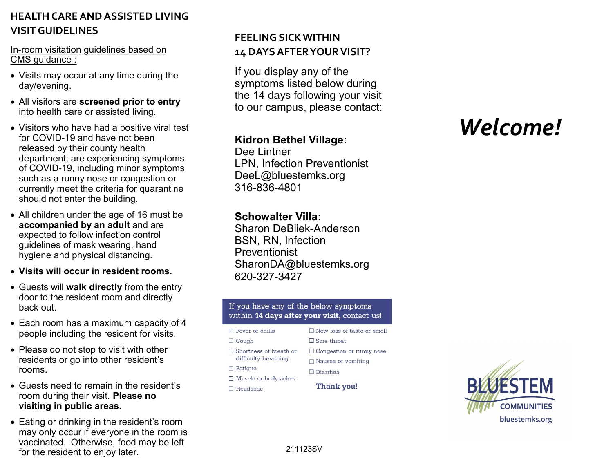# **HEALTH CARE AND ASSISTED LIVING VISIT GUIDELINES**

#### In-room visitation guidelines based on CMS guidance :

- Visits may occur at any time during the day/evening.
- All visitors are **screened prior to entry**  into health care or assisted living.
- Visitors who have had a positive viral test for COVID-19 and have not been released by their county health department; are experiencing symptoms of COVID-19, including minor symptoms such as a runny nose or congestion or currently meet the criteria for quarantine should not enter the building.
- All children under the age of 16 must be **accompanied by an adult** and are expected to follow infection control guidelines of mask wearing, hand hygiene and physical distancing.
- **Visits will occur in resident rooms.**
- Guests will **walk directly** from the entry door to the resident room and directly back out.
- Each room has a maximum capacity of 4 people including the resident for visits.
- Please do not stop to visit with other residents or go into other resident's rooms.
- Guests need to remain in the resident's room during their visit. **Please no visiting in public areas.**
- Eating or drinking in the resident's room may only occur if everyone in the room is vaccinated. Otherwise, food may be left for the resident to enjoy later.

# **FEELING SICK WITHIN 14 DAYS AFTER YOUR VISIT?**

If you display any of the symptoms listed below during the 14 days following your visit to our campus, please contact:

## **Kidron Bethel Village:**

Dee Lintner LPN, Infection Preventionist DeeL@bluestemks.org 316-836-4801

#### **Schowalter Villa:**

Sharon DeBliek-Anderson BSN, RN, Infection Preventionist SharonDA@bluestemks.org 620-327-3427

#### If you have any of the below symptoms within 14 days after your visit, contact us!

#### $\Box$  Fever or chills  $\Box$  Cough  $\Box$  Shortness of breath or difficulty breathing

- $\Box$  Fatigue
- $\Box$  Muscle or body aches
- $\Box$  Headache

## □ Congestion or runny nose  $\Box$  Nausea or vomiting

 $\Box$  New loss of taste or smell

 $\Box$  Diarrhea

 $\Box$  Sore throat

Thank you!

# *Welcome!*



211123SV